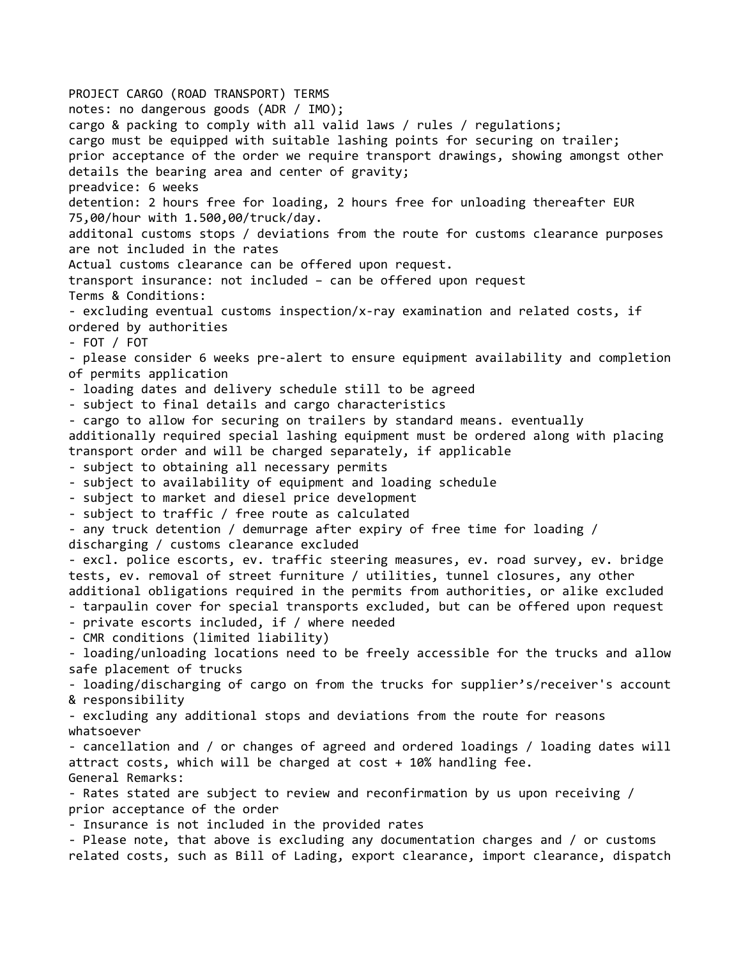PROJECT CARGO (ROAD TRANSPORT) TERMS notes: no dangerous goods (ADR / IMO); cargo & packing to comply with all valid laws / rules / regulations; cargo must be equipped with suitable lashing points for securing on trailer; prior acceptance of the order we require transport drawings, showing amongst other details the bearing area and center of gravity; preadvice: 6 weeks detention: 2 hours free for loading, 2 hours free for unloading thereafter EUR 75,00/hour with 1.500,00/truck/day. additonal customs stops / deviations from the route for customs clearance purposes are not included in the rates Actual customs clearance can be offered upon request. transport insurance: not included – can be offered upon request Terms & Conditions: - excluding eventual customs inspection/x-ray examination and related costs, if ordered by authorities - FOT / FOT - please consider 6 weeks pre-alert to ensure equipment availability and completion of permits application - loading dates and delivery schedule still to be agreed - subject to final details and cargo characteristics - cargo to allow for securing on trailers by standard means. eventually additionally required special lashing equipment must be ordered along with placing transport order and will be charged separately, if applicable - subject to obtaining all necessary permits - subject to availability of equipment and loading schedule - subject to market and diesel price development - subject to traffic / free route as calculated - any truck detention / demurrage after expiry of free time for loading / discharging / customs clearance excluded - excl. police escorts, ev. traffic steering measures, ev. road survey, ev. bridge tests, ev. removal of street furniture / utilities, tunnel closures, any other additional obligations required in the permits from authorities, or alike excluded - tarpaulin cover for special transports excluded, but can be offered upon request - private escorts included, if / where needed - CMR conditions (limited liability) - loading/unloading locations need to be freely accessible for the trucks and allow safe placement of trucks - loading/discharging of cargo on from the trucks for supplier's/receiver's account & responsibility - excluding any additional stops and deviations from the route for reasons whatsoever - cancellation and / or changes of agreed and ordered loadings / loading dates will attract costs, which will be charged at cost + 10% handling fee. General Remarks: - Rates stated are subject to review and reconfirmation by us upon receiving / prior acceptance of the order - Insurance is not included in the provided rates - Please note, that above is excluding any documentation charges and / or customs related costs, such as Bill of Lading, export clearance, import clearance, dispatch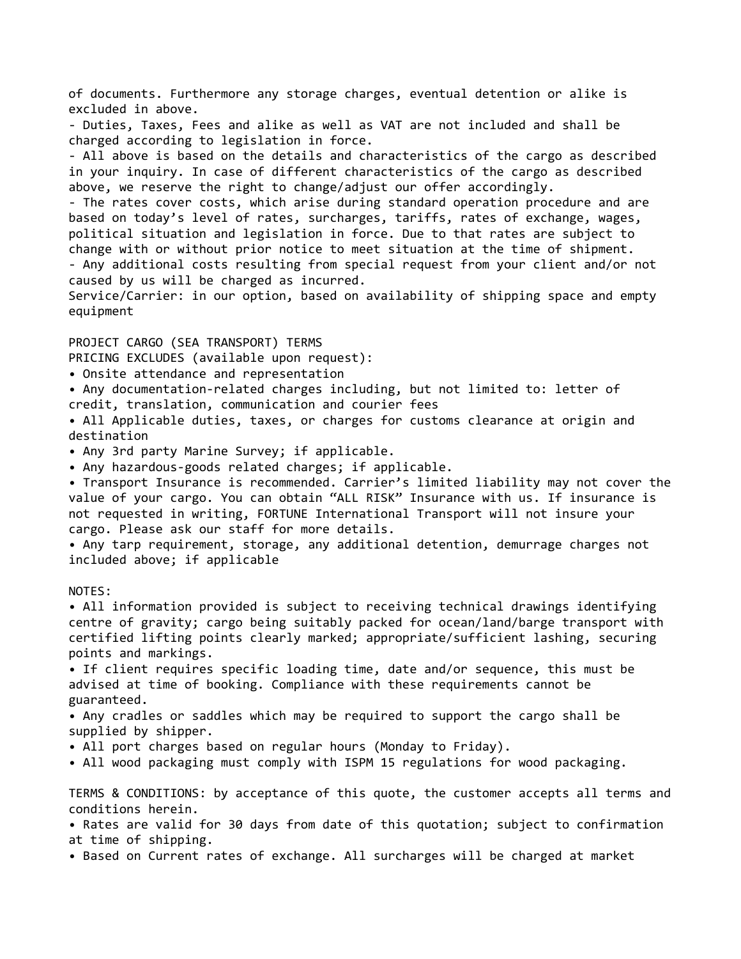of documents. Furthermore any storage charges, eventual detention or alike is excluded in above. - Duties, Taxes, Fees and alike as well as VAT are not included and shall be charged according to legislation in force. - All above is based on the details and characteristics of the cargo as described in your inquiry. In case of different characteristics of the cargo as described above, we reserve the right to change/adjust our offer accordingly. - The rates cover costs, which arise during standard operation procedure and are based on today's level of rates, surcharges, tariffs, rates of exchange, wages, political situation and legislation in force. Due to that rates are subject to change with or without prior notice to meet situation at the time of shipment. - Any additional costs resulting from special request from your client and/or not caused by us will be charged as incurred. Service/Carrier: in our option, based on availability of shipping space and empty

## PROJECT CARGO (SEA TRANSPORT) TERMS

PRICING EXCLUDES (available upon request):

- Onsite attendance and representation
- Any documentation-related charges including, but not limited to: letter of credit, translation, communication and courier fees

• All Applicable duties, taxes, or charges for customs clearance at origin and destination

• Any 3rd party Marine Survey; if applicable.

• Any hazardous-goods related charges; if applicable.

• Transport Insurance is recommended. Carrier's limited liability may not cover the value of your cargo. You can obtain "ALL RISK" Insurance with us. If insurance is not requested in writing, FORTUNE International Transport will not insure your cargo. Please ask our staff for more details.

• Any tarp requirement, storage, any additional detention, demurrage charges not included above; if applicable

## NOTES:

equipment

• All information provided is subject to receiving technical drawings identifying centre of gravity; cargo being suitably packed for ocean/land/barge transport with certified lifting points clearly marked; appropriate/sufficient lashing, securing points and markings.

• If client requires specific loading time, date and/or sequence, this must be advised at time of booking. Compliance with these requirements cannot be guaranteed.

• Any cradles or saddles which may be required to support the cargo shall be supplied by shipper.

• All port charges based on regular hours (Monday to Friday).

• All wood packaging must comply with ISPM 15 regulations for wood packaging.

TERMS & CONDITIONS: by acceptance of this quote, the customer accepts all terms and conditions herein.

• Rates are valid for 30 days from date of this quotation; subject to confirmation at time of shipping.

• Based on Current rates of exchange. All surcharges will be charged at market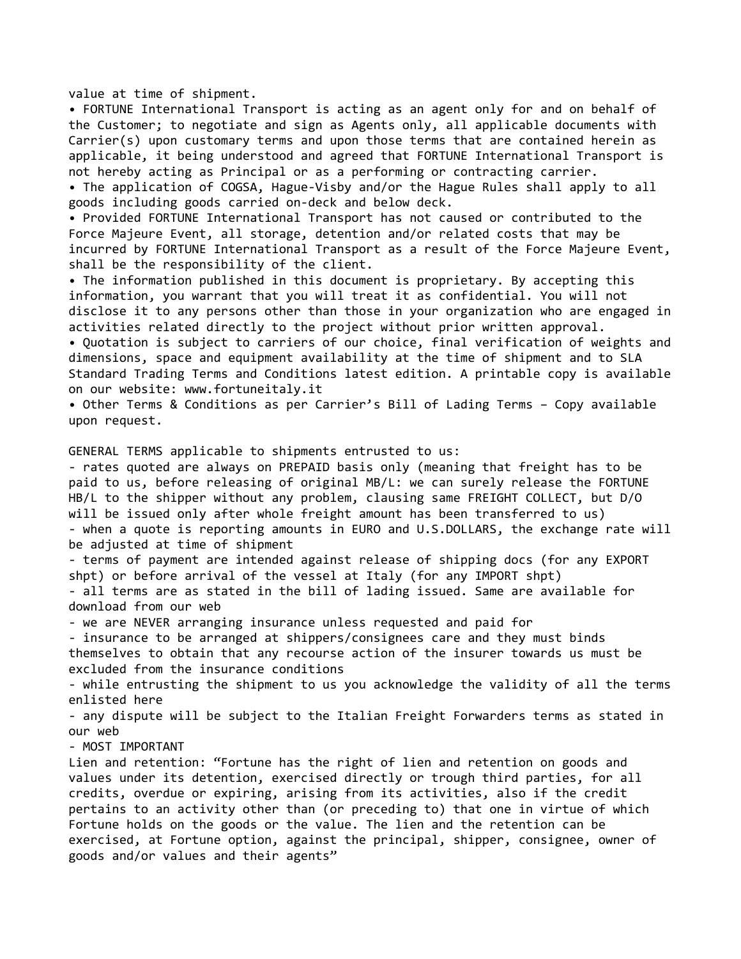value at time of shipment.

• FORTUNE International Transport is acting as an agent only for and on behalf of the Customer; to negotiate and sign as Agents only, all applicable documents with Carrier(s) upon customary terms and upon those terms that are contained herein as applicable, it being understood and agreed that FORTUNE International Transport is not hereby acting as Principal or as a performing or contracting carrier.

• The application of COGSA, Hague-Visby and/or the Hague Rules shall apply to all goods including goods carried on-deck and below deck.

• Provided FORTUNE International Transport has not caused or contributed to the Force Majeure Event, all storage, detention and/or related costs that may be incurred by FORTUNE International Transport as a result of the Force Majeure Event, shall be the responsibility of the client.

• The information published in this document is proprietary. By accepting this information, you warrant that you will treat it as confidential. You will not disclose it to any persons other than those in your organization who are engaged in activities related directly to the project without prior written approval.

• Quotation is subject to carriers of our choice, final verification of weights and dimensions, space and equipment availability at the time of shipment and to SLA Standard Trading Terms and Conditions latest edition. A printable copy is available on our website: www.fortuneitaly.it

• Other Terms & Conditions as per Carrier's Bill of Lading Terms – Copy available upon request.

GENERAL TERMS applicable to shipments entrusted to us:

- rates quoted are always on PREPAID basis only (meaning that freight has to be paid to us, before releasing of original MB/L: we can surely release the FORTUNE HB/L to the shipper without any problem, clausing same FREIGHT COLLECT, but D/O will be issued only after whole freight amount has been transferred to us) - when a quote is reporting amounts in EURO and U.S.DOLLARS, the exchange rate will be adjusted at time of shipment

- terms of payment are intended against release of shipping docs (for any EXPORT shpt) or before arrival of the vessel at Italy (for any IMPORT shpt)

- all terms are as stated in the bill of lading issued. Same are available for download from our web

- we are NEVER arranging insurance unless requested and paid for

- insurance to be arranged at shippers/consignees care and they must binds themselves to obtain that any recourse action of the insurer towards us must be excluded from the insurance conditions

- while entrusting the shipment to us you acknowledge the validity of all the terms enlisted here

- any dispute will be subject to the Italian Freight Forwarders terms as stated in our web

- MOST IMPORTANT

Lien and retention: "Fortune has the right of lien and retention on goods and values under its detention, exercised directly or trough third parties, for all credits, overdue or expiring, arising from its activities, also if the credit pertains to an activity other than (or preceding to) that one in virtue of which Fortune holds on the goods or the value. The lien and the retention can be exercised, at Fortune option, against the principal, shipper, consignee, owner of goods and/or values and their agents"